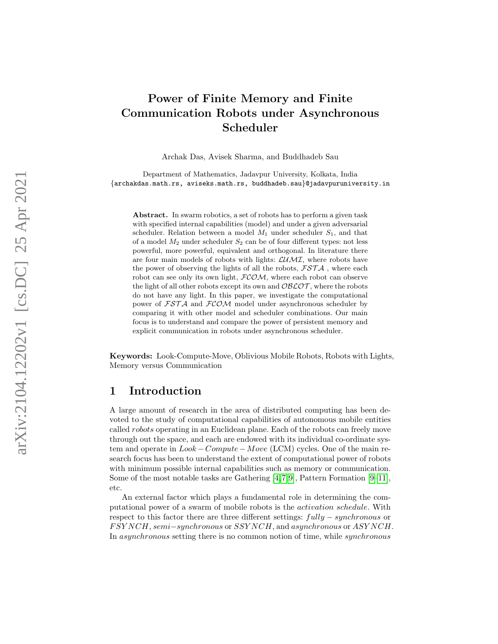# Power of Finite Memory and Finite Communication Robots under Asynchronous Scheduler

Archak Das, Avisek Sharma, and Buddhadeb Sau

Department of Mathematics, Jadavpur University, Kolkata, India {archakdas.math.rs, aviseks.math.rs, buddhadeb.sau }@jadavpuruniversity.in

Abstract. In swarm robotics, a set of robots has to perform a given task with specified internal capabilities (model) and under a given adversarial scheduler. Relation between a model  $M_1$  under scheduler  $S_1$ , and that of a model M<sup>2</sup> under scheduler S <sup>2</sup> can be of four different types: not less powerful, more powerful, equivalent and orthogonal. In literature there are four main models of robots with lights:  $\mathcal{L}$ *UMI*, where robots have the power of observing the lights of all the robots,  $\mathcal{FSTA}$ , where each robot can see only its own light,  $FCOM$ , where each robot can observe the light of all other robots except its own and  $\mathcal{O}\mathcal{B}\mathcal{L}\mathcal{O}\mathcal{T}$ , where the robots do not have any light. In this paper, we investigate the computational power of FSTA and FCOM model under asynchronous scheduler by comparing it with other model and scheduler combinations. Our main focus is to understand and compare the power of persistent memory and explicit communication in robots under asynchronous scheduler.

Keywords: Look-Compute-Move, Oblivious Mobile Robots, Robots with Lights, Memory versus Communication

## 1 Introduction

A large amount of research in the area of distributed computing has been devoted to the study of computational capabilities of autonomous mobile entities called robots operating in an Euclidean plane. Each of the robots can freely move through out the space, and each are endowed with its individual co-ordinate system and operate in  $Look-Compute-Move$  (LCM) cycles. One of the main research focus has been to understand the extent of computational power of robots with minimum possible internal capabilities such as memory or communication. Some of the most notable tasks are Gathering [\[4,](#page-14-0)[7,](#page-15-0)[9\]](#page-15-1), Pattern Formation [\[9–](#page-15-1)[11\]](#page-15-2), etc.

An external factor which plays a fundamental role in determining the computational power of a swarm of mobile robots is the activation schedule. With respect to this factor there are three different settings:  $fully-synchronous$  or FSY NCH, semi-synchronous or SSY NCH, and asynchronous or ASY NCH. In asynchronous setting there is no common notion of time, while synchronous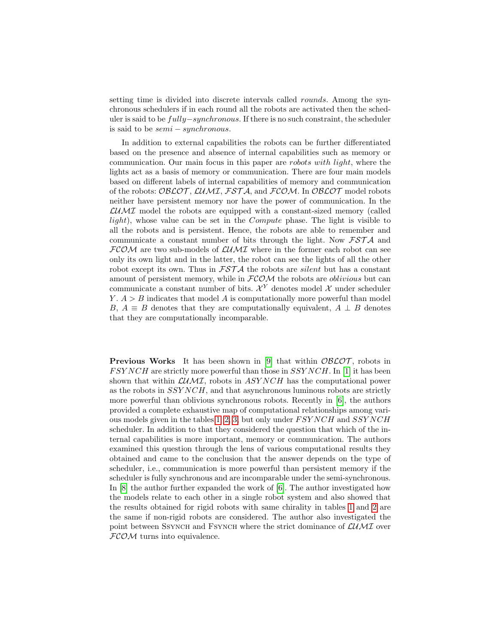setting time is divided into discrete intervals called *rounds*. Among the synchronous schedulers if in each round all the robots are activated then the scheduler is said to be fully−synchronous. If there is no such constraint, the scheduler is said to be  $semi-synchronous.$ 

In addition to external capabilities the robots can be further differentiated based on the presence and absence of internal capabilities such as memory or communication. Our main focus in this paper are *robots with light*, where the lights act as a basis of memory or communication. There are four main models based on different labels of internal capabilities of memory and communication of the robots: OBLOT, LUMI, FSTA, and FCOM. In OBLOT model robots neither have persistent memory nor have the power of communication. In the  $\mathcal{L}$ *UMI* model the robots are equipped with a constant-sized memory (called light), whose value can be set in the Compute phase. The light is visible to all the robots and is persistent. Hence, the robots are able to remember and communicate a constant number of bits through the light. Now  $\mathcal{FSTA}$  and  $FCOM$  are two sub-models of  $LUMI$  where in the former each robot can see only its own light and in the latter, the robot can see the lights of all the other robot except its own. Thus in  $FSTA$  the robots are *silent* but has a constant amount of persistent memory, while in  $FCOM$  the robots are *oblivious* but can communicate a constant number of bits.  $\mathcal{X}^{Y}$  denotes model  $\mathcal{X}$  under scheduler  $Y: A > B$  indicates that model A is computationally more powerful than model B,  $A \equiv B$  denotes that they are computationally equivalent,  $A \perp B$  denotes that they are computationally incomparable.

**Previous Works** It has been shown in [\[9\]](#page-15-1) that within  $\mathcal{O}\mathcal{B}\mathcal{L}\mathcal{O}\mathcal{T}$ , robots in  $FSYNCH$  are strictly more powerful than those in  $SSYNCH$ . In [\[1\]](#page-14-1) it has been shown that within  $\mathcal{L} \mathcal{U} \mathcal{M} \mathcal{I}$ , robots in ASY NCH has the computational power as the robots in SSY NCH, and that asynchronous luminous robots are strictly more powerful than oblivious synchronous robots. Recently in  $|6|$ , the authors provided a complete exhaustive map of computational relationships among vari-ous models given in the tables [1, 2,](#page-2-0) [3,](#page-2-1) but only under  $FSYNCH$  and  $SSYNCH$ scheduler. In addition to that they considered the question that which of the internal capabilities is more important, memory or communication. The authors examined this question through the lens of various computational results they obtained and came to the conclusion that the answer depends on the type of scheduler, i.e., communication is more powerful than persistent memory if the scheduler is fully synchronous and are incomparable under the semi-synchronous. In [\[8\]](#page-15-4) the author further expanded the work of [\[6\]](#page-15-3). The author investigated how the models relate to each other in a single robot system and also showed that the results obtained for rigid robots with same chirality in tables [1](#page-2-0) and [2](#page-2-0) are the same if non-rigid robots are considered. The author also investigated the point between SSYNCH and FSYNCH where the strict dominance of  $\mathcal{L}$ UMI over  $FCOM$  turns into equivalence.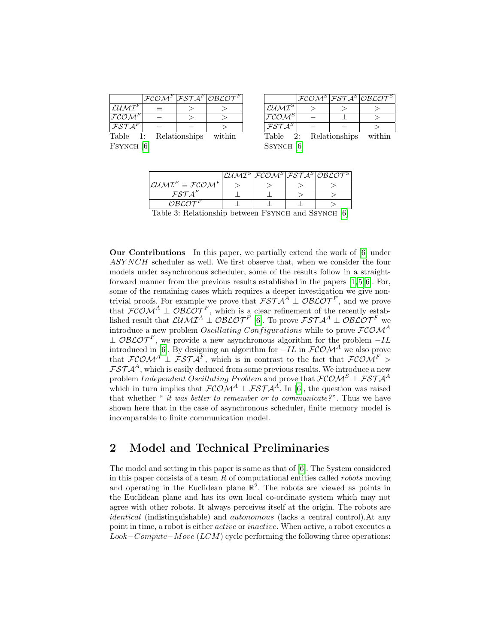<span id="page-2-0"></span>

|                                                     |               | $ \mathcal{FCOM}^F \overline{\mathcal{FSTA}^F} \mathcal{O}B\mathcal{LOT}^F $ |
|-----------------------------------------------------|---------------|------------------------------------------------------------------------------|
| $\mathcal{L} \mathcal{U} \mathcal{M} \mathcal{I}^F$ |               |                                                                              |
| FCOM <sup>F</sup>                                   |               |                                                                              |
| $\overline{\mathcal{FSTA}^F}$                       |               |                                                                              |
| Table<br>1:                                         | Relationships | within                                                                       |

|                                          |            |               | $ \mathcal{FCOM}^S \mathcal{FSTA}^S \mathcal{O}\mathcal{BLOT}^S $ |
|------------------------------------------|------------|---------------|-------------------------------------------------------------------|
| $\mathcal{L}$ <i>UMT</i> $^{\mathrm{S}}$ |            |               |                                                                   |
| $\mathcal{FCOM}^S$                       |            |               |                                                                   |
| $FSTA^S$                                 |            |               |                                                                   |
| ጡአեገአ                                    | $\Omega$ . | Deletiensking |                                                                   |

<span id="page-2-1"></span>FSYNCH [\[6\]](#page-15-3)

| Table         | 2: Relationships | within |
|---------------|------------------|--------|
| $S$ synch [6] |                  |        |

|                                                                                                              |  |  |  | $\mathcal{L} \mathcal{U} \mathcal{M} \mathcal{I}^S  \mathcal{FCOM}^S \mathcal{F} \mathcal{STA}^S \mathcal{O} \mathcal{B} \mathcal{L} \mathcal{O} \mathcal{T}^S $ |  |
|--------------------------------------------------------------------------------------------------------------|--|--|--|------------------------------------------------------------------------------------------------------------------------------------------------------------------|--|
| $\mathcal{L} \mathcal{U} \mathcal{M} \mathcal{I}^F \equiv \mathcal{F} \mathcal{C} \mathcal{O} \mathcal{M}^F$ |  |  |  |                                                                                                                                                                  |  |
| $\mathcal{FST}A^F$                                                                                           |  |  |  |                                                                                                                                                                  |  |
| $\mathcal{O}\mathcal{B}\mathcal{L}\mathcal{O}\overline{\mathcal{T}^F}$                                       |  |  |  |                                                                                                                                                                  |  |
| Table 2. Polationship between Fsystem and Csystem [6]                                                        |  |  |  |                                                                                                                                                                  |  |

Table 3: Relationship between Fsynch and Ssynch [\[6\]](#page-15-3)

Our Contributions In this paper, we partially extend the work of [\[6\]](#page-15-3) under ASY NCH scheduler as well. We first observe that, when we consider the four models under asynchronous scheduler, some of the results follow in a straightforward manner from the previous results established in the papers [\[1,](#page-14-1) [5,](#page-14-2) [6\]](#page-15-3). For, some of the remaining cases which requires a deeper investigation we give nontrivial proofs. For example we prove that  $\mathcal{FSTA}^A \perp \mathcal{OBLOT}^F$ , and we prove that  $\mathcal{FCOM}^A \perp \mathcal{OBLOT}^F$ , which is a clear refinement of the recently established result that  $\mathcal{L} \mathcal{U} \mathcal{M} \mathcal{I}^A \perp \mathcal{O} \mathcal{B} \mathcal{L} \mathcal{O} \mathcal{T}^F$  [\[6\]](#page-15-3). To prove  $\mathcal{FSTA}^A \perp \mathcal{O} \mathcal{B} \mathcal{L} \mathcal{O} \mathcal{T}^F$  we introduce a new problem *Oscillating Configurations* while to prove  $\mathcal{FCOM}^A$  $\perp$  OBLOT<sup>F</sup>, we provide a new asynchronous algorithm for the problem  $-IL$ introduced in [\[6\]](#page-15-3). By designing an algorithm for  $-IL$  in  $\mathcal{FCOM}^A$  we also prove that  $\mathcal{FCOM}^A \perp \mathcal{FSTA}^F$ , which is in contrast to the fact that  $\mathcal{FCOM}^F$  >  $\mathcal{FSTA}^{A}$ , which is easily deduced from some previous results. We introduce a new problem Independent Oscillating Problem and prove that  $\mathcal{FCOM}^S \perp \mathcal{FSTA}^A$ which in turn implies that  $FCOM^A \perp FST\mathcal{A}^A$ . In [\[6\]](#page-15-3), the question was raised that whether " it was better to remember or to communicate?". Thus we have shown here that in the case of asynchronous scheduler, finite memory model is incomparable to finite communication model.

# 2 Model and Technical Preliminaries

The model and setting in this paper is same as that of [\[6\]](#page-15-3). The System considered in this paper consists of a team  $R$  of computational entities called *robots* moving and operating in the Euclidean plane  $\mathbb{R}^2$ . The robots are viewed as points in the Euclidean plane and has its own local co-ordinate system which may not agree with other robots. It always perceives itself at the origin. The robots are identical (indistinguishable) and autonomous (lacks a central control).At any point in time, a robot is either active or inactive. When active, a robot executes a  $Look-Compute-Move (LCM)$  cycle performing the following three operations: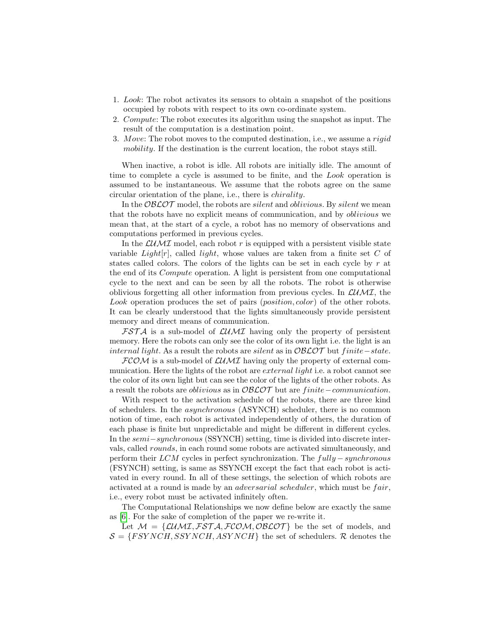- 1. Look: The robot activates its sensors to obtain a snapshot of the positions occupied by robots with respect to its own co-ordinate system.
- 2. Compute: The robot executes its algorithm using the snapshot as input. The result of the computation is a destination point.
- 3. Move: The robot moves to the computed destination, i.e., we assume a *rigid* mobility. If the destination is the current location, the robot stays still.

When inactive, a robot is idle. All robots are initially idle. The amount of time to complete a cycle is assumed to be finite, and the Look operation is assumed to be instantaneous. We assume that the robots agree on the same circular orientation of the plane, i.e., there is chirality.

In the  $O\mathcal{BLOT}$  model, the robots are *silent* and *oblivious*. By *silent* we mean that the robots have no explicit means of communication, and by oblivious we mean that, at the start of a cycle, a robot has no memory of observations and computations performed in previous cycles.

In the  $\mathcal{L} \mathcal{U} \mathcal{M} \mathcal{I}$  model, each robot r is equipped with a persistent visible state variable Light $[r]$ , called light, whose values are taken from a finite set C of states called colors. The colors of the lights can be set in each cycle by  $r$  at the end of its Compute operation. A light is persistent from one computational cycle to the next and can be seen by all the robots. The robot is otherwise oblivious forgetting all other information from previous cycles. In  $\mathcal{L} U \mathcal{M} \mathcal{I}$ , the Look operation produces the set of pairs (*position, color*) of the other robots. It can be clearly understood that the lights simultaneously provide persistent memory and direct means of communication.

 $FST\mathcal{A}$  is a sub-model of  $\mathcal{L}U\mathcal{M}I$  having only the property of persistent memory. Here the robots can only see the color of its own light i.e. the light is an *internal light*. As a result the robots are *silent* as in  $\mathcal{O}\mathcal{B}\mathcal{L}\mathcal{O}\mathcal{T}$  but finite–state.

 $FCOM$  is a sub-model of  $LUMI$  having only the property of external communication. Here the lights of the robot are *external light* i.e. a robot cannot see the color of its own light but can see the color of the lights of the other robots. As a result the robots are *oblivious* as in  $\mathcal{O} \mathcal{B} \mathcal{L} \mathcal{O} \mathcal{T}$  but are finite–communication.

With respect to the activation schedule of the robots, there are three kind of schedulers. In the asynchronous (ASYNCH) scheduler, there is no common notion of time, each robot is activated independently of others, the duration of each phase is finite but unpredictable and might be different in different cycles. In the semi−synchronous (SSYNCH) setting, time is divided into discrete intervals, called rounds, in each round some robots are activated simultaneously, and perform their  $LCM$  cycles in perfect synchronization. The  $fully-synchronous$ (FSYNCH) setting, is same as SSYNCH except the fact that each robot is activated in every round. In all of these settings, the selection of which robots are activated at a round is made by an *adversarial scheduler*, which must be *fair*, i.e., every robot must be activated infinitely often.

The Computational Relationships we now define below are exactly the same as [\[6\]](#page-15-3). For the sake of completion of the paper we re-write it.

Let  $M = \{LUMI, FSTA, FCOM, OBLOT\}$  be the set of models, and  $S = {FSYNCH, SSYNCH, ASYNCH}$  the set of schedulers. R denotes the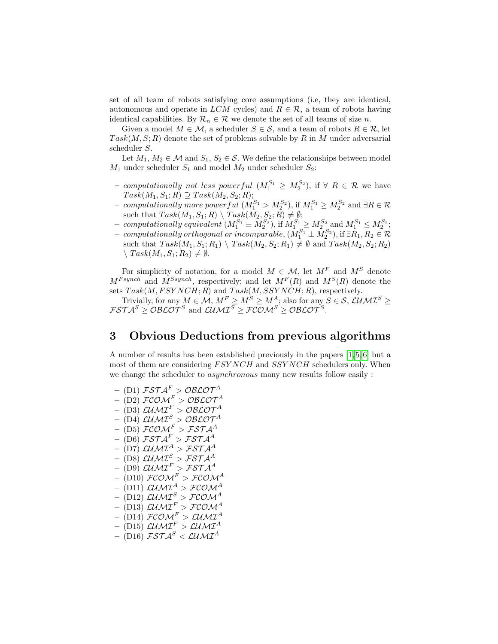set of all team of robots satisfying core assumptions (i.e, they are identical, autonomous and operate in  $LCM$  cycles) and  $R \in \mathcal{R}$ , a team of robots having identical capabilities. By  $\mathcal{R}_n \in \mathcal{R}$  we denote the set of all teams of size *n*.

Given a model  $M \in \mathcal{M}$ , a scheduler  $S \in \mathcal{S}$ , and a team of robots  $R \in \mathcal{R}$ , let  $Task(M, S; R)$  denote the set of problems solvable by R in M under adversarial scheduler S.

Let  $M_1, M_2 \in \mathcal{M}$  and  $S_1, S_2 \in \mathcal{S}$ . We define the relationships between model  $M_1$  under scheduler  $S_1$  and model  $M_2$  under scheduler  $S_2$ :

- computationally not less powerful  $(M_1^{S_1} \geq M_2^{S_2})$ , if ∀  $R \in \mathcal{R}$  we have  $Task(M_1, S_1; R) \supseteq Task(M_2, S_2; R);$
- − computationally more powerful  $(M_1^{S_1} > M_2^{S_2})$ , if  $M_1^{S_1} \ge M_2^{S_2}$  and  $\exists R \in \mathcal{R}$ such that  $Task(M_1, S_1; R) \setminus Task(M_2, S_2; R) \neq \emptyset;$
- computationally equivalent  $(M_1^{S_1} \equiv M_2^{S_2})$ , if  $M_1^{S_1} \ge M_2^{S_2}$  and  $M_1^{S_1} \le M_2^{S_2}$ ;
- $\,\, computationally \, orthogonal \, or \, incompareable, \, (\tilde{M}_1^{S_1}\perp \tilde{M}_2^{S_2}), \, \text{if} \, \exists \tilde{R}_1, R_2 \in \mathcal{R}$ such that  $Task(M_1, S_1; R_1) \setminus Task(M_2, S_2; R_1) \neq \emptyset$  and  $Task(M_2, S_2; R_2)$  $\setminus Task(M_1, S_1; R_2) \neq \emptyset.$

For simplicity of notation, for a model  $M \in \mathcal{M}$ , let  $M^F$  and  $M^S$  denote  $M^{Fsynch}$  and  $M^{Ssynch}$ , respectively; and let  $M^{F}(R)$  and  $M^{S}(R)$  denote the sets  $Task(M,FSYNCH; R)$  and  $Task(M,SSYNCH; R)$ , respectively.

Trivially, for any  $M \in \mathcal{M}, M^F \ge M^S \ge M^A$ ; also for any  $S \in \mathcal{S}, \mathcal{LUMI}^S \ge$  $\mathcal{FSTA}^S \geq \mathcal{O}\mathcal{B}\mathcal{L}\mathcal{O}\mathcal{T}^S$  and  $\mathcal{LUMI}^S \geq \mathcal{FCOM}^S \geq \mathcal{O}\mathcal{B}\mathcal{L}\mathcal{O}\mathcal{T}^S.$ 

## 3 Obvious Deductions from previous algorithms

A number of results has been established previously in the papers [\[1,](#page-14-1) [5,](#page-14-2) [6\]](#page-15-3) but a most of them are considering  $FSYNCH$  and  $SSYNCH$  schedulers only. When we change the scheduler to asynchronous many new results follow easily :

 $-$  (D1) FSTA $^F > \mathcal{O} \mathcal{B} \mathcal{L} \mathcal{O} \mathcal{T}^A$  $(\text{D2})$  FCOM  $^F$   $>$  OBLOT  $^A$  $-(D3)$   $\mathcal{L} \mathcal{U} \mathcal{M} \mathcal{I}^F > \mathcal{O} \mathcal{B} \mathcal{L} \mathcal{O} \mathcal{T}^A$  $-$  (D4) LUMI<sup>S</sup> > OBLOT<sup>A</sup>  $-$  (D5)  $FCOM^F > FSTA^A$  $-(D6)$   $\mathcal{FSTA}^F > \mathcal{FSTA}^A$ – (D7) LUMI $^A$  > FST A $^A$  $-$  (D8) LUMT  $>$  FST A $^A$  $\left(\textrm{D9}\right)\,\mathcal{L}\mathcal{U}\mathcal{M}\mathcal{I}^{F}>\mathcal{F}\mathcal{S}\mathcal{T}\mathcal{A}^{A}$  $( \text{D10})$   $\mathcal{FCOM}^F > \mathcal{FCOM}^A$ – (D11)  $\mathcal{L} \mathcal{U} \mathcal{M} \mathcal{I}^A > \mathcal{F} \mathcal{C} \mathcal{O} \mathcal{M}^A$  $\left( \text{D12}\right)$  LUMI $^{S}$   $>$  FCOM $^{A}$  $(\text{D13})$   $\mathcal{L} \mathcal{U} \mathcal{M} \mathcal{I}^F > \mathcal{F} \mathcal{C} \mathcal{O} \mathcal{M}^A$  $(\text{D14})$   $\mathcal{FCOM}^F > \mathcal{LUMI}^A$  $-(D15)$   $\mathcal{L}$ UMI<sup>F</sup> >  $\mathcal{L}$ UMI<sup>A</sup>  $-$  (D<sub>16</sub>) FST $A^S$  < LUMI<sup>A</sup>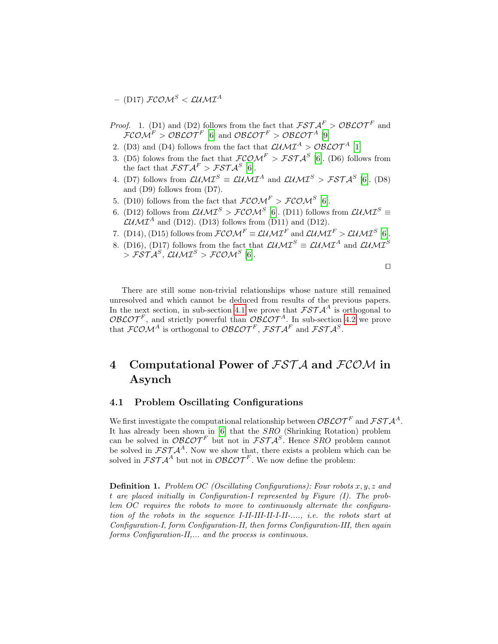– (D17)  $\mathcal{FCOM}^S < \mathcal{L} U \mathcal{M} \mathcal{I}^A$ 

- *Proof.* 1. (D1) and (D2) follows from the fact that  $\mathcal{FSTA}^F > \mathcal{OBLOT}^F$  and  $\mathcal{FCOM}^F > \mathcal{O}\mathcal{BLOT}^F$  [\[6\]](#page-15-3) and  $\mathcal{O}\mathcal{BLOT}^F > \mathcal{O}\mathcal{BLOT}^A$  [\[9\]](#page-15-1)
- 2. (D3) and (D4) follows from the fact that  $\mathcal{LUMI}^{A} > \mathcal{O} \mathcal{BLOT}^{A}$  [\[1\]](#page-14-1)
- 3. (D5) folows from the fact that  $\mathcal{FCOM}^F > \mathcal{FSTA}^S$  [\[6\]](#page-15-3). (D6) follows from the fact that  $\mathcal{FSTA}^F > \mathcal{FSTA}^S$  [\[6\]](#page-15-3).
- 4. (D7) follows from  $\mathcal{LUMI}^S \equiv \mathcal{LUMI}^A$  and  $\mathcal{LUMI}^S > \mathcal{FSTA}^S$  [\[6\]](#page-15-3). (D8) and (D9) follows from (D7).
- 5. (D10) follows from the fact that  $\mathcal{FCOM}^F > \mathcal{FCOM}^S$  [\[6\]](#page-15-3).
- 6. (D12) follows from  $\mathcal{L} \mathcal{U} \mathcal{M}^S > \mathcal{FC} \mathcal{O} \mathcal{M}^S$  [\[6\]](#page-15-3). (D11) follows from  $\mathcal{L} \mathcal{U} \mathcal{M}^S \equiv$  $\mathcal{L} \mathcal{U} \mathcal{M} \mathcal{I}^A$  and (D12). (D13) follows from (D11) and (D12).
- 7. (D14), (D15) follows from  $\mathcal{FCOM}^F \equiv \mathcal{LUMI}^F$  and  $\mathcal{LUMI}^F > \mathcal{LUMI}^S$  [\[6\]](#page-15-3).
- 8. (D16), (D17) follows from the fact that  $\mathcal{LUMI}^S \equiv \mathcal{LUMI}^A$  and  $\mathcal{LUMI}^S$  $> \mathcal{FSTA}^S, \mathcal{LUMI}^S> \mathcal{FCOM}^S$  [\[6\]](#page-15-3).

 $\Box$ 

There are still some non-trivial relationships whose nature still remained unresolved and which cannot be deduced from results of the previous papers. In the next section, in sub-section [4.1](#page-5-0) we prove that  $\mathcal{FSTA}^A$  is orthogonal to  $\mathcal{O}\mathcal{B}\mathcal{L}\mathcal{O}\mathcal{T}^F$ , and strictly powerful than  $\mathcal{O}\mathcal{B}\mathcal{L}\mathcal{O}\mathcal{T}^A$ . In sub-section [4.2](#page-8-0) we prove that  $\mathcal{FCOM}^A$  is orthogonal to  $\mathcal{O}\mathcal{B}\mathcal{LOT}^F$ ,  $\mathcal{F}\mathcal{ST}\mathcal{A}^F$  and  $\mathcal{FSTA}^S$ .

# 4 Computational Power of  $FST\mathcal{A}$  and  $FCOM$  in Asynch

### <span id="page-5-0"></span>4.1 Problem Oscillating Configurations

We first investigate the computational relationship between  $\mathcal{O}\mathcal{B}\mathcal{L}\mathcal{O}\mathcal{T}^F$  and  $\mathcal{F}\mathcal{S}\mathcal{T}\mathcal{A}^A$ . It has already been shown in [\[6\]](#page-15-3) that the SRO (Shrinking Rotation) problem can be solved in  $\mathcal{O} \mathcal{B} \mathcal{L} \mathcal{O} \mathcal{T}^F$  but not in  $\mathcal{F} \mathcal{S} \mathcal{T} \mathcal{A}^S$ . Hence SRO problem cannot be solved in  $\mathcal{FSTA}^A$ . Now we show that, there exists a problem which can be solved in  $\mathcal{FSTA}^A$  but not in  $\mathcal{OBLOT}^F$ . We now define the problem:

**Definition 1.** Problem OC (Oscillating Configurations): Four robots  $x, y, z$  and t are placed initially in Configuration-I represented by Figure (I). The problem OC requires the robots to move to continuously alternate the configuration of the robots in the sequence I-II-III-II-I-II-...., i.e. the robots start at Configuration-I, form Configuration-II, then forms Configuration-III, then again forms Configuration-II,... and the process is continuous.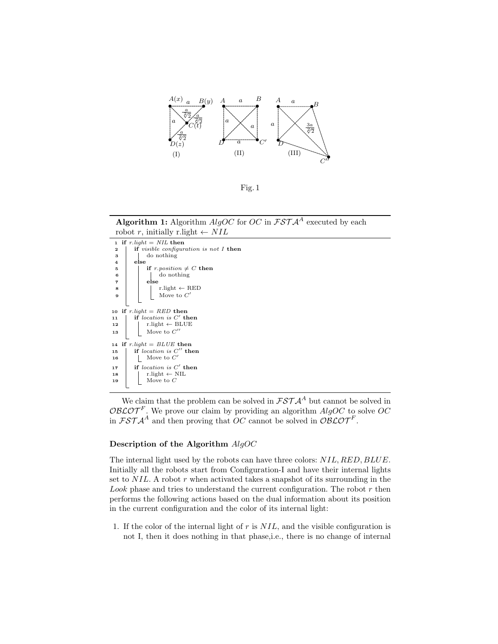

Fig. 1

**Algorithm 1:** Algorithm  $AlgOC$  for  $OC$  in  $FSTA^A$  executed by each robot r, initially r.light  $\leftarrow NIL$ 



We claim that the problem can be solved in  $\mathcal{FSTA}^A$  but cannot be solved in  $\mathcal{O}\mathcal{B}\mathcal{L}\mathcal{O}\mathcal{T}^F$ . We prove our claim by providing an algorithm  $AlgOC$  to solve  $OC$ in  $\mathcal{FSTA}^A$  and then proving that OC cannot be solved in  $\mathcal{OBCOT}^F$ .

#### Description of the Algorithm AlgOC

The internal light used by the robots can have three colors:  $NIL, RED, BLUE$ . Initially all the robots start from Configuration-I and have their internal lights set to  $NIL$ . A robot r when activated takes a snapshot of its surrounding in the Look phase and tries to understand the current configuration. The robot  $r$  then performs the following actions based on the dual information about its position in the current configuration and the color of its internal light:

1. If the color of the internal light of  $r$  is  $NIL$ , and the visible configuration is not I, then it does nothing in that phase,i.e., there is no change of internal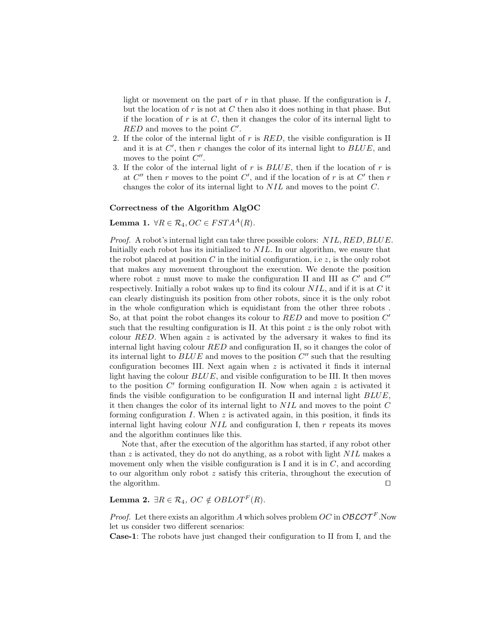light or movement on the part of r in that phase. If the configuration is  $I$ , but the location of  $r$  is not at  $C$  then also it does nothing in that phase. But if the location of  $r$  is at  $C$ , then it changes the color of its internal light to  $RED$  and moves to the point  $C'$ .

- 2. If the color of the internal light of  $r$  is  $RED$ , the visible configuration is II and it is at  $C'$ , then r changes the color of its internal light to  $BLUE$ , and moves to the point  $C''$ .
- 3. If the color of the internal light of  $r$  is  $BLUE$ , then if the location of  $r$  is at  $C''$  then r moves to the point  $C'$ , and if the location of r is at  $C'$  then r changes the color of its internal light to NIL and moves to the point C.

#### Correctness of the Algorithm AlgOC

<span id="page-7-0"></span>Lemma 1.  $\forall R \in \mathcal{R}_4, OC \in FSTA^A(R)$ .

Proof. A robot's internal light can take three possible colors:  $NIL, RED, BLUE$ . Initially each robot has its initialized to NIL. In our algorithm, we ensure that the robot placed at position C in the initial configuration, i.e.  $z$ , is the only robot that makes any movement throughout the execution. We denote the position where robot  $z$  must move to make the configuration II and III as  $C'$  and  $C''$ respectively. Initially a robot wakes up to find its colour  $NIL$ , and if it is at C it can clearly distinguish its position from other robots, since it is the only robot in the whole configuration which is equidistant from the other three robots . So, at that point the robot changes its colour to  $RED$  and move to position  $C'$ such that the resulting configuration is II. At this point  $z$  is the only robot with colour RED. When again z is activated by the adversary it wakes to find its internal light having colour RED and configuration II, so it changes the color of its internal light to  $BLUE$  and moves to the position  $C''$  such that the resulting configuration becomes III. Next again when  $z$  is activated it finds it internal light having the colour  $BLUE$ , and visible configuration to be III. It then moves to the position  $C'$  forming configuration II. Now when again  $z$  is activated it finds the visible configuration to be configuration II and internal light BLUE, it then changes the color of its internal light to NIL and moves to the point C forming configuration  $I$ . When  $z$  is activated again, in this position, it finds its internal light having colour  $NIL$  and configuration I, then  $r$  repeats its moves and the algorithm continues like this.

Note that, after the execution of the algorithm has started, if any robot other than  $z$  is activated, they do not do anything, as a robot with light  $NIL$  makes a movement only when the visible configuration is I and it is in  $C$ , and according to our algorithm only robot z satisfy this criteria, throughout the execution of the algorithm.  $\Box$ 

## Lemma 2.  $\exists R \in \mathcal{R}_4$ ,  $OC \notin OBLOTF(R)$ .

*Proof.* Let there exists an algorithm A which solves problem  $OC$  in  $O\mathcal{BLOT}^F$ . Now let us consider two different scenarios:

Case-1: The robots have just changed their configuration to II from I, and the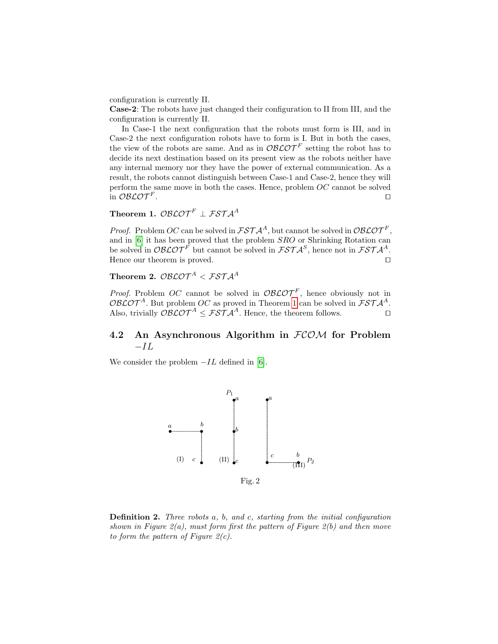configuration is currently II.

Case-2: The robots have just changed their configuration to II from III, and the configuration is currently II.

In Case-1 the next configuration that the robots must form is III, and in Case-2 the next configuration robots have to form is I. But in both the cases, the view of the robots are same. And as in  $\mathcal{O}\mathcal{B}\mathcal{L}\mathcal{O}\mathcal{T}^F$  setting the robot has to decide its next destination based on its present view as the robots neither have any internal memory nor they have the power of external communication. As a result, the robots cannot distinguish between Case-1 and Case-2, hence they will perform the same move in both the cases. Hence, problem OC cannot be solved in  $\mathcal{O}$ BL $\mathcal{O} \mathcal{T}^F$ . . The contract of the contract of the contract of the contract of the contract of the contract of the contract of the contract of the contract of the contract of the contract of the contract of the contract of the contract

## Theorem 1.  $\mathcal{O}\mathcal{B}\mathcal{L}\mathcal{O}\mathcal{T}^F \perp \mathcal{F}\mathcal{S}\mathcal{T}\mathcal{A}^A$

*Proof.* Problem OC can be solved in  $\mathcal{FSTA}^A$ , but cannot be solved in  $\mathcal{OBLOT}^F$ , and in [\[6\]](#page-15-3) it has been proved that the problem SRO or Shrinking Rotation can be solved in  $\mathcal{O}\mathcal{B}\mathcal{L}\mathcal{O}\mathcal{T}^F$  but cannot be solved in  $\mathcal{F}\mathcal{S}\mathcal{T}\mathcal{A}^S$ , hence not in  $\mathcal{F}\mathcal{S}\mathcal{T}\mathcal{A}^A$ . Hence our theorem is proved.  $\Box$ 

# Theorem 2.  $\mathcal{O}\mathcal{B}\mathcal{L}\mathcal{O}\mathcal{T}^A < \mathcal{FST} \mathcal{A}^A$

*Proof.* Problem OC cannot be solved in  $O\mathcal{BLOT}^F$ , hence obviously not in OBLOT<sup>A</sup>. But problem OC as proved in Theorem [1](#page-7-0) can be solved in  $\mathcal{FSTA}^A$ . Also, trivially  $\mathcal{O}\mathcal{B}\mathcal{L}\mathcal{O}\mathcal{T}^A \leq \mathcal{F}\mathcal{S}\mathcal{T}\mathcal{A}^A$ . Hence, the theorem follows.

## <span id="page-8-0"></span>4.2 An Asynchronous Algorithm in  $FCOM$  for Problem  $-IL$

We consider the problem  $-IL$  defined in [\[6\]](#page-15-3).



Definition 2. Three robots a, b, and c, starting from the initial configuration shown in Figure  $2(a)$ , must form first the pattern of Figure  $2(b)$  and then move to form the pattern of Figure  $2(c)$ .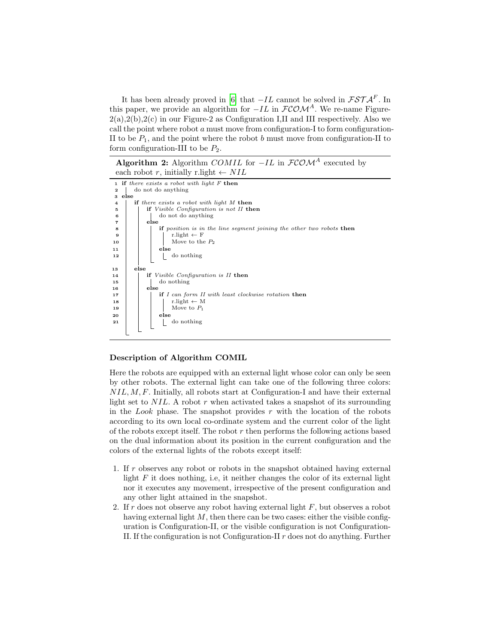It has been already proved in [\[6\]](#page-15-3) that  $-IL$  cannot be solved in  $\mathcal{FSTA}^F$ . In this paper, we provide an algorithm for  $-IL$  in  $\mathcal{FCOM}^A$ . We re-name Figure- $2(a),2(b),2(c)$  in our Figure-2 as Configuration I,II and III respectively. Also we call the point where robot  $a$  must move from configuration-I to form configuration-II to be  $P_1$ , and the point where the robot b must move from configuration-II to form configuration-III to be  $P_2$ .

Algorithm 2: Algorithm COMIL for  $-IL$  in  $\mathcal{FCOM}^A$  executed by each robot r, initially r.light  $\leftarrow$  NIL



### Description of Algorithm COMIL

Here the robots are equipped with an external light whose color can only be seen by other robots. The external light can take one of the following three colors:  $NIL, M, F$ . Initially, all robots start at Configuration-I and have their external light set to  $NIL$ . A robot r when activated takes a snapshot of its surrounding in the *Look* phase. The snapshot provides  $r$  with the location of the robots according to its own local co-ordinate system and the current color of the light of the robots except itself. The robot  $r$  then performs the following actions based on the dual information about its position in the current configuration and the colors of the external lights of the robots except itself:

- 1. If r observes any robot or robots in the snapshot obtained having external light  $F$  it does nothing, i.e, it neither changes the color of its external light nor it executes any movement, irrespective of the present configuration and any other light attained in the snapshot.
- 2. If r does not observe any robot having external light  $F$ , but observes a robot having external light  $M$ , then there can be two cases: either the visible configuration is Configuration-II, or the visible configuration is not Configuration-II. If the configuration is not Configuration-II  $r$  does not do anything. Further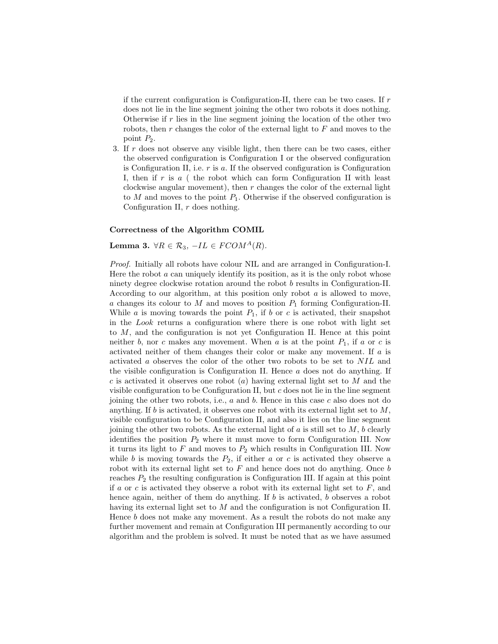if the current configuration is Configuration-II, there can be two cases. If  $r$ does not lie in the line segment joining the other two robots it does nothing. Otherwise if  $r$  lies in the line segment joining the location of the other two robots, then  $r$  changes the color of the external light to  $F$  and moves to the point P2.

3. If r does not observe any visible light, then there can be two cases, either the observed configuration is Configuration I or the observed configuration is Configuration II, i.e.  $r$  is  $a$ . If the observed configuration is Configuration I, then if r is  $a$  (the robot which can form Configuration II with least clockwise angular movement), then  $r$  changes the color of the external light to  $M$  and moves to the point  $P_1$ . Otherwise if the observed configuration is Configuration II, r does nothing.

### Correctness of the Algorithm COMIL

### <span id="page-10-0"></span>Lemma 3.  $\forall R \in \mathcal{R}_3$ ,  $-IL \in FCOM^A(R)$ .

Proof. Initially all robots have colour NIL and are arranged in Configuration-I. Here the robot  $\alpha$  can uniquely identify its position, as it is the only robot whose ninety degree clockwise rotation around the robot b results in Configuration-II. According to our algorithm, at this position only robot  $a$  is allowed to move,  $a$  changes its colour to  $M$  and moves to position  $P_1$  forming Configuration-II. While  $a$  is moving towards the point  $P_1$ , if  $b$  or  $c$  is activated, their snapshot in the Look returns a configuration where there is one robot with light set to M, and the configuration is not yet Configuration II. Hence at this point neither b, nor c makes any movement. When a is at the point  $P_1$ , if a or c is activated neither of them changes their color or make any movement. If a is activated a observes the color of the other two robots to be set to NIL and the visible configuration is Configuration II. Hence  $a$  does not do anything. If c is activated it observes one robot  $(a)$  having external light set to M and the visible configuration to be Configuration II, but c does not lie in the line segment joining the other two robots, i.e.,  $a$  and  $b$ . Hence in this case  $c$  also does not do anything. If b is activated, it observes one robot with its external light set to  $M$ , visible configuration to be Configuration II, and also it lies on the line segment joining the other two robots. As the external light of  $a$  is still set to  $M$ ,  $b$  clearly identifies the position  $P_2$  where it must move to form Configuration III. Now it turns its light to  $F$  and moves to  $P_2$  which results in Configuration III. Now while b is moving towards the  $P_2$ , if either a or c is activated they observe a robot with its external light set to  $F$  and hence does not do anything. Once  $b$ reaches  $P_2$  the resulting configuration is Configuration III. If again at this point if a or c is activated they observe a robot with its external light set to  $F$ , and hence again, neither of them do anything. If b is activated, b observes a robot having its external light set to M and the configuration is not Configuration II. Hence b does not make any movement. As a result the robots do not make any further movement and remain at Configuration III permanently according to our algorithm and the problem is solved. It must be noted that as we have assumed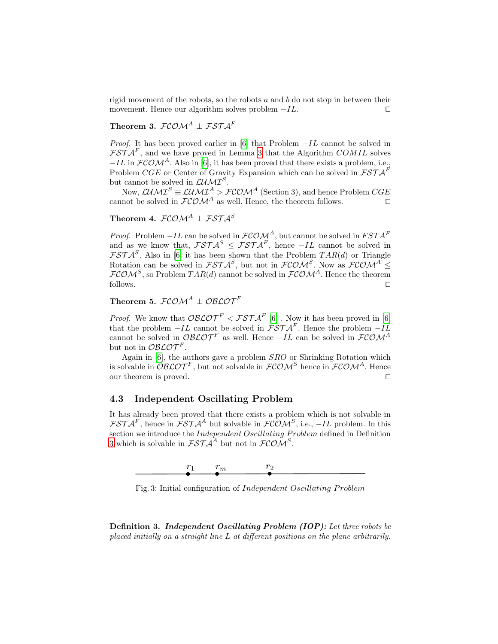rigid movement of the robots, so the robots  $a$  and  $b$  do not stop in between their movement. Hence our algorithm solves problem  $-IL$ .  $\Box$ 

## Theorem 3.  $\mathcal{FCOM}^A \perp \mathcal{FSTA}^F$

*Proof.* It has been proved earlier in [\[6\]](#page-15-3) that Problem  $-IL$  cannot be solved in  $\mathcal{FSTA}^F$ , and we have proved in Lemma [3](#page-10-0) that the Algorithm COMIL solves  $-IL$  in  $FCOM<sup>A</sup>$ . Also in [\[6\]](#page-15-3), it has been proved that there exists a problem, i.e., Problem CGE or Center of Gravity Expansion which can be solved in  $\mathcal{FSTA}^F$ but cannot be solved in  $\mathcal{L} \mathcal{U} \mathcal{M} \mathcal{I}^S$ .

Now,  $\mathcal{L} \mathcal{U} \mathcal{M} \mathcal{I}^S \equiv \mathcal{L} \mathcal{U} \mathcal{M} \mathcal{I}^A > \mathcal{F} \mathcal{C} \mathcal{O} \mathcal{M}^A$  (Section 3), and hence Problem  $CGE$ cannot be solved in  $\mathcal{FCOM}^A$  as well. Hence, the theorem follows.

Theorem 4.  $\mathcal{FCOM}^A \perp \mathcal{FSTA}^S$ 

*Proof.* Problem  $-IL$  can be solved in  $\mathcal{FCOM}^A$ , but cannot be solved in  $FSTA^F$ and as we know that,  $\mathcal{FSTA}^S \leq \mathcal{FSTA}^F$ , hence  $-IL$  cannot be solved in  $\mathcal{FSTA}^S$ . Also in [\[6\]](#page-15-3) it has been shown that the Problem  $TAR(d)$  or Triangle Rotation can be solved in  $\mathcal{FSTA}^S$ , but not in  $\mathcal{FCOM}^S$ . Now as  $\mathcal{FCOM}^A$  $\mathcal{FCOM}^S$ , so Problem  $TAR(d)$  cannot be solved in  $\mathcal{FCOM}^A$ . Hence the theorem  $\Box$  follows.

Theorem 5.  $FCOM^A$  |  $OBCOT^F$ 

*Proof.* We know that  $\mathcal{O}\mathcal{B}\mathcal{L}\mathcal{O}\mathcal{T}^F < \mathcal{F}\mathcal{S}\mathcal{T}\mathcal{A}^F$  [\[6\]](#page-15-3). Now it has been proved in [6] that the problem  $-IL$  cannot be solved in  $\mathcal{FSTA}^F$ . Hence the problem  $-IL$ cannot be solved in  $\mathcal{O}\mathcal{B}\mathcal{L}\mathcal{O}\mathcal{T}^F$  as well. Hence  $-IL$  can be solved in  $\mathcal{F}\mathcal{C}\mathcal{O}\mathcal{M}^A$ but not in  $\mathcal{O} \mathcal{B} \mathcal{L} \mathcal{O} \mathcal{T}^F$ .

Again in [\[6\]](#page-15-3), the authors gave a problem SRO or Shrinking Rotation which is solvable in  $\mathcal{O}\mathcal{B}\mathcal{L}\mathcal{O}\mathcal{T}^F$ , but not solvable in  $\mathcal{F}\mathcal{C}\mathcal{O}\mathcal{M}^S$  hence in  $\mathcal{F}\mathcal{C}\mathcal{O}\mathcal{M}^A$ . Hence our theorem is proved.  $\Box$ 

### 4.3 Independent Oscillating Problem

It has already been proved that there exists a problem which is not solvable in  $\mathcal{FSTA}^F$ , hence in  $\mathcal{FSTA}^A$  but solvable in  $\mathcal{FCOM}^S$ , i.e.,  $-IL$  problem. In this section we introduce the *Independent Oscillating Problem* defined in Definition [3](#page-11-0) which is solvable in  $\mathcal{FSTA}^A$  but not in  $\mathcal{FCOM}^S$ .

<span id="page-11-1"></span>

Fig. 3: Initial configuration of *Independent Oscillating Problem* 

<span id="page-11-0"></span>Definition 3. Independent Oscillating Problem (IOP): Let three robots be placed initially on a straight line L at different positions on the plane arbitrarily.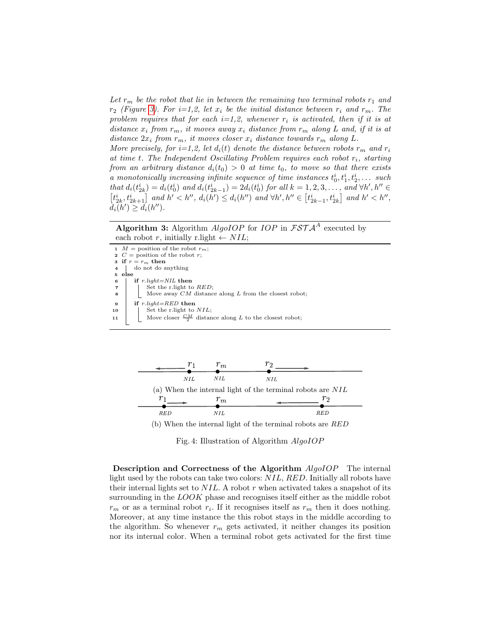Let  $r_m$  be the robot that lie in between the remaining two terminal robots  $r_1$  and  $r_2$  (Figure [3\)](#page-11-1). For  $i=1,2$ , let  $x_i$  be the initial distance between  $r_i$  and  $r_m$ . The problem requires that for each  $i=1,2$ , whenever  $r_i$  is activated, then if it is at distance  $x_i$  from  $r_m$ , it moves away  $x_i$  distance from  $r_m$  along L and, if it is at distance  $2x_i$  from  $r_m$ , it moves closer  $x_i$  distance towards  $r_m$  along L.

More precisely, for  $i=1,2$ , let  $d_i(t)$  denote the distance between robots  $r_m$  and  $r_i$ at time t. The Independent Oscillating Problem requires each robot  $r_i$ , starting from an arbitrary distance  $d_i(t_0) > 0$  at time  $t_0$ , to move so that there exists a monotonically increasing infinite sequence of time instances  $t_0^i, t_1^i, t_2^i, \ldots$  such that  $d_i(t_{2k}^i) = d_i(t_0^i)$  and  $d_i(t_{2k-1}^i) = 2d_i(t_0^i)$  for all  $k = 1, 2, 3, \ldots$ , and  $\forall h', h'' \in$  $\left[t_{2k}^i, t_{2k+1}^i\right]$  and  $h' < h'', d_i(h') \leq d_i(h'')$  and  $\forall h', h'' \in \left[t_{2k-1}^i, t_{2k}^i\right]$  and  $h' < h'',$  $d_i(h') \geq d_i(h'').$ 

Algorithm 3: Algorithm  $AlgoIOP$  for  $IOP$  in  $\mathcal{FSTA}^A$  executed by each robot r, initially r.light  $\leftarrow$  NIL;

1  $M =$  position of the robot  $r_m$ ;<br>2  $C =$  position of the robot  $r$ ;  $C =$  position of the robot r; 3 if  $r = r_m$  then<br>4 do not do a do not do anything  $\begin{array}{c|c}\n5 & \text{else} \\
6 & \text{if}\n\end{array}$  $6$  | if  $r. light=NIL$  then  $\begin{array}{c|c} \n7 & \text{Set the r-light to } RED; \n8 & \text{Move away } CM \text{ distance} \n\end{array}$ Move away  $CM$  distance along  $L$  from the closest robot; 9 if  $r\text{.}light = RED$  then 10  $\Big|$  Set the r.light to  $NIL$ ; 11  $\Box$  Move closer  $\frac{CM}{2}$  distance along L to the closest robot;



(b) When the internal light of the terminal robots are RED

Fig. 4: Illustration of Algorithm AlgoIOP

Description and Correctness of the Algorithm  $AlqoIOP$  The internal light used by the robots can take two colors: NIL, RED. Initially all robots have their internal lights set to  $NIL$ . A robot  $r$  when activated takes a snapshot of its surrounding in the LOOK phase and recognises itself either as the middle robot  $r_m$  or as a terminal robot  $r_i$ . If it recognises itself as  $r_m$  then it does nothing. Moreover, at any time instance the this robot stays in the middle according to the algorithm. So whenever  $r_m$  gets activated, it neither changes its position nor its internal color. When a terminal robot gets activated for the first time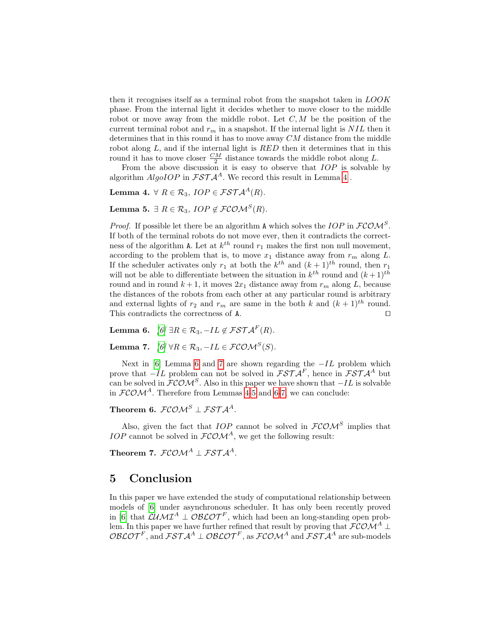then it recognises itself as a terminal robot from the snapshot taken in LOOK phase. From the internal light it decides whether to move closer to the middle robot or move away from the middle robot. Let  $C, M$  be the position of the current terminal robot and  $r_m$  in a snapshot. If the internal light is  $NIL$  then it determines that in this round it has to move away  $CM$  distance from the middle robot along  $L$ , and if the internal light is  $RED$  then it determines that in this round it has to move closer  $\frac{CM}{2}$  distance towards the middle robot along L.

<span id="page-13-0"></span>From the above discussion it is easy to observe that  $IOP$  is solvable by algorithm  $AlqoIOP$  in  $\mathcal{FSTA}^{A}$ . We record this result in Lemma [4](#page-13-0).

Lemma 4.  $\forall R \in \mathcal{R}_3$ ,  $IOP \in \mathcal{FSTA}^A(R)$ .

<span id="page-13-3"></span>Lemma 5.  $\exists R \in \mathcal{R}_3$ ,  $IOP \notin \mathcal{FCOM}^S(R)$ .

*Proof.* If possible let there be an algorithm A which solves the IOP in  $\mathcal{FCOM}^S$ . If both of the terminal robots do not move ever, then it contradicts the correctness of the algorithm A. Let at  $k^{th}$  round  $r_1$  makes the first non null movement, according to the problem that is, to move  $x_1$  distance away from  $r_m$  along L. If the scheduler activates only  $r_1$  at both the  $k^{th}$  and  $(k+1)^{th}$  round, then  $r_1$ will not be able to differentiate between the situation in  $k^{th}$  round and  $(k+1)^{th}$ round and in round  $k + 1$ , it moves  $2x_1$  distance away from  $r_m$  along L, because the distances of the robots from each other at any particular round is arbitrary and external lights of  $r_2$  and  $r_m$  are same in the both k and  $(k+1)$ <sup>th</sup> round. This contradicts the correctness of  $A$ .  $\Box$ 

<span id="page-13-1"></span>Lemma 6.  $[6]$   $\exists R \in \mathcal{R}_3$ ,  $-IL \notin \mathcal{FSTA}^F(R)$ .

<span id="page-13-2"></span>Lemma 7.  $[\mathit{6}]\ \forall R\in\mathcal{R}_3,-IL\in\mathcal{FCOM}^S(S).$ 

Next in [\[6\]](#page-15-3) Lemma [6](#page-13-1) and [7](#page-13-2) are shown regarding the  $-IL$  problem which prove that  $-IL$  problem can not be solved in  $\mathcal{FSTA}^F$ , hence in  $\mathcal{FSTA}^A$  but can be solved in  $\mathcal{FCOM}^S$ . Also in this paper we have shown that  $-IL$  is solvable in  $FCOM<sup>A</sup>$ . Therefore from Lemmas [4-](#page-13-0)[5](#page-13-3) and [6-](#page-13-1)[7,](#page-13-2) we can conclude:

Theorem 6.  $FCOM^S \perp FSTA^A$ .

Also, given the fact that  $IOP$  cannot be solved in  $\mathcal{FCOM}^S$  implies that IOP cannot be solved in  $FCOM<sup>A</sup>$ , we get the following result:

Theorem 7.  $FCOM^A \perp FSTA^A$ .

## 5 Conclusion

In this paper we have extended the study of computational relationship between models of [\[6\]](#page-15-3) under asynchronous scheduler. It has only been recently proved in [\[6\]](#page-15-3) that  $\mathcal{L} \mathcal{U} \mathcal{M} \mathcal{I}^A \perp \mathcal{O} \mathcal{B} \mathcal{L} \mathcal{O} \mathcal{T}^F$ , which had been an long-standing open problem. In this paper we have further refined that result by proving that  $\mathcal{FCOM}^A \perp$  $\mathcal{O}\mathcal{B}\mathcal{L}\mathcal{O}\mathcal{T}^F,$  and  $\mathcal{F}\mathcal{S}\mathcal{T}\mathcal{A}^A\perp\mathcal{O}\mathcal{B}\mathcal{L}\mathcal{O}\mathcal{T}^F,$  as  $\mathcal{F}\mathcal{C}\mathcal{O}\mathcal{M}^A$  and  $\mathcal{F}\mathcal{S}\mathcal{T}\mathcal{A}^A$  are sub-models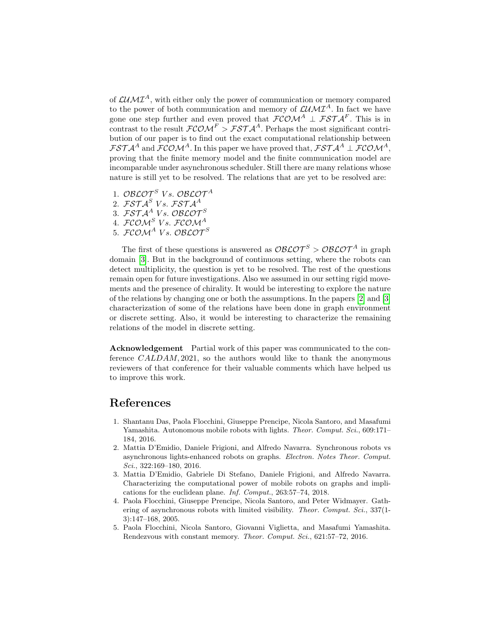of  $\mathcal{L}$ *M* $\mathcal{I}^{A}$ , with either only the power of communication or memory compared to the power of both communication and memory of  $\mathcal{L} U \mathcal{M} \mathcal{I}^A$ . In fact we have gone one step further and even proved that  $\mathcal{FCOM}^A \perp \mathcal{FSTA}^F$ . This is in contrast to the result  $\mathcal{FCOM}^F > \mathcal{FSTA}^A$ . Perhaps the most significant contribution of our paper is to find out the exact computational relationship between  $\mathcal{FSTA}^A$  and  $\mathcal{FCOM}^A$ . In this paper we have proved that,  $\mathcal{FSTA}^A \perp \mathcal{FCOM}^A$ , proving that the finite memory model and the finite communication model are incomparable under asynchronous scheduler. Still there are many relations whose nature is still yet to be resolved. The relations that are yet to be resolved are:

- 1. OBLOT<sup>S</sup> Vs. OBLOT<sup>A</sup>
- 2.  $\mathcal{FSTA}^S$  Vs.  $\mathcal{FSTA}^A$
- 3.  $\mathcal{FSTA}^{A}$  Vs. OBLOT<sup>S</sup>
- 4.  $\mathcal{FCOM}^S$  Vs.  $\mathcal{FCOM}^A$
- $5.$  FCOM<sup>A</sup> Vs. OBLOT<sup>S</sup>

The first of these questions is answered as  $\mathcal{O}\mathcal{B}\mathcal{L}\mathcal{O}\mathcal{T}^S > \mathcal{O}\mathcal{B}\mathcal{L}\mathcal{O}\mathcal{T}^A$  in graph domain [\[3\]](#page-14-3). But in the background of continuous setting, where the robots can detect multiplicity, the question is yet to be resolved. The rest of the questions remain open for future investigations. Also we assumed in our setting rigid movements and the presence of chirality. It would be interesting to explore the nature of the relations by changing one or both the assumptions. In the papers [\[2\]](#page-14-4) and [\[3\]](#page-14-3) characterization of some of the relations have been done in graph environment or discrete setting. Also, it would be interesting to characterize the remaining relations of the model in discrete setting.

Acknowledgement Partial work of this paper was communicated to the conference CALDAM, 2021, so the authors would like to thank the anonymous reviewers of that conference for their valuable comments which have helped us to improve this work.

## References

- <span id="page-14-1"></span>1. Shantanu Das, Paola Flocchini, Giuseppe Prencipe, Nicola Santoro, and Masafumi Yamashita. Autonomous mobile robots with lights. Theor. Comput. Sci., 609:171– 184, 2016.
- <span id="page-14-4"></span>2. Mattia D'Emidio, Daniele Frigioni, and Alfredo Navarra. Synchronous robots vs asynchronous lights-enhanced robots on graphs. Electron. Notes Theor. Comput. Sci., 322:169–180, 2016.
- <span id="page-14-3"></span>3. Mattia D'Emidio, Gabriele Di Stefano, Daniele Frigioni, and Alfredo Navarra. Characterizing the computational power of mobile robots on graphs and implications for the euclidean plane. Inf. Comput., 263:57–74, 2018.
- <span id="page-14-0"></span>4. Paola Flocchini, Giuseppe Prencipe, Nicola Santoro, and Peter Widmayer. Gathering of asynchronous robots with limited visibility. Theor. Comput. Sci., 337(1-3):147–168, 2005.
- <span id="page-14-2"></span>5. Paola Flocchini, Nicola Santoro, Giovanni Viglietta, and Masafumi Yamashita. Rendezvous with constant memory. Theor. Comput. Sci., 621:57–72, 2016.